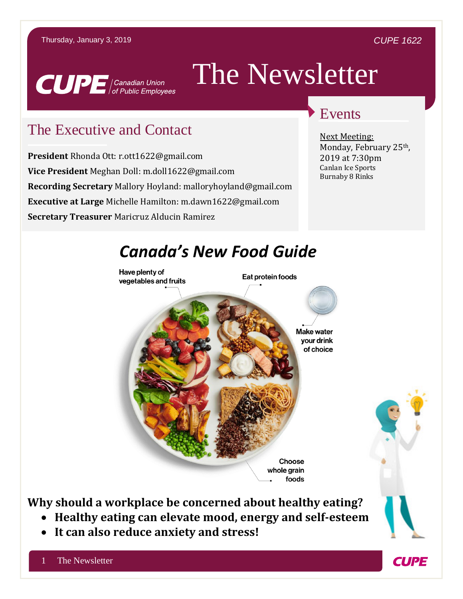#### *CUPE 1622*

**CUPE** 



# The Newsletter

### The Executive and Contact

**President** Rhonda Ott: r.ott1622@gmail.com **Vice President** Meghan Doll: m.doll1622@gmail.com **Recording Secretary** Mallory Hoyland: malloryhoyland@gmail.com **Executive at Large** Michelle Hamilton: m.dawn1622@gmail.com **Secretary Treasurer** Maricruz Alducin Ramirez

#### Events

Next Meeting: Monday, February 25th, 2019 at 7:30pm Canlan Ice Sports Burnaby 8 Rinks



**Why should a workplace be concerned about healthy eating?**

- **Healthy eating can elevate mood, energy and self-esteem**
- **It can also reduce anxiety and stress!**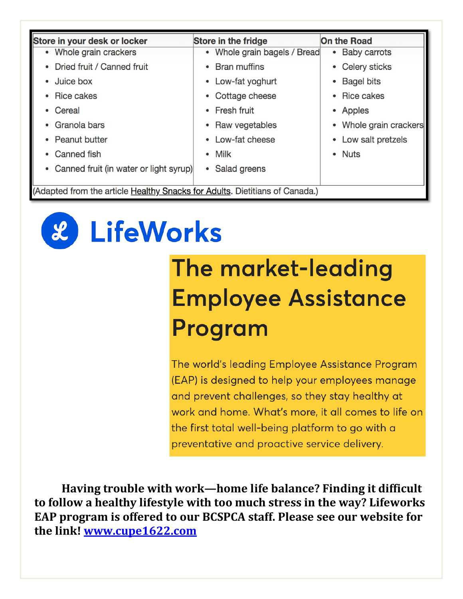| Store in your desk or locker                                                | <b>Store in the fridge</b>   | <b>On the Road</b>             |  |
|-----------------------------------------------------------------------------|------------------------------|--------------------------------|--|
| • Whole grain crackers                                                      | • Whole grain bagels / Bread | • Baby carrots                 |  |
| • Dried fruit / Canned fruit                                                | <b>Bran muffins</b>          | • Celery sticks                |  |
| • Juice box                                                                 | • Low-fat yoghurt            | <b>Bagel bits</b><br>$\bullet$ |  |
| • Rice cakes                                                                | Cottage cheese               | • Rice cakes                   |  |
| • Cereal                                                                    | <b>Fresh fruit</b>           | • Apples                       |  |
| • Granola bars                                                              | Raw vegetables               | • Whole grain crackers         |  |
| • Peanut butter                                                             | • Low-fat cheese             | • Low salt pretzels            |  |
| • Canned fish                                                               | • Milk                       | • Nuts                         |  |
| • Canned fruit (in water or light syrup)                                    | Salad greens<br>$\bullet$    |                                |  |
|                                                                             |                              |                                |  |
| (Adapted from the article Healthy Snacks for Adults. Dietitians of Canada.) |                              |                                |  |



## The market-leading **Employee Assistance** Program

The world's leading Employee Assistance Program (EAP) is designed to help your employees manage and prevent challenges, so they stay healthy at work and home. What's more, it all comes to life on the first total well-being platform to go with a preventative and proactive service delivery.

**Having trouble with work—home life balance? Finding it difficult to follow a healthy lifestyle with too much stress in the way? Lifeworks EAP program is offered to our BCSPCA staff. Please see our website for the link! [www.cupe1622.com](http://www.cupe1622.com/)**